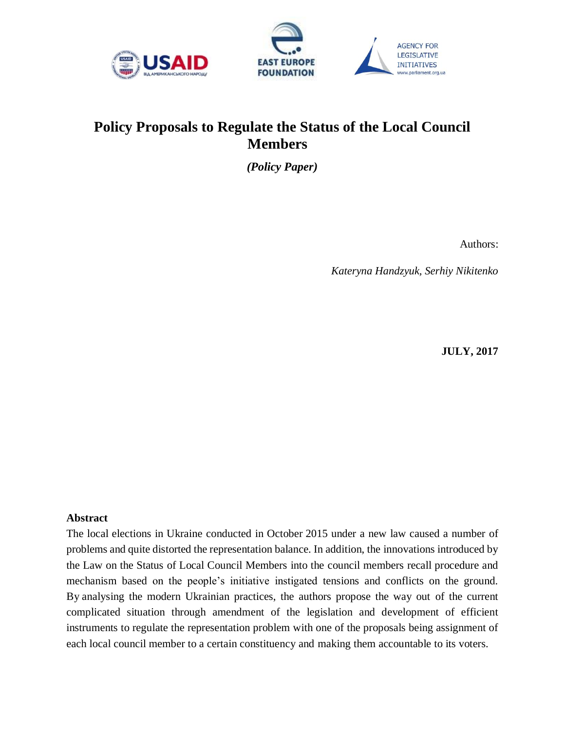



# **Policy Proposals to Regulate the Status of the Local Council Members**

*(Policy Paper)* 

Authors:

*Kateryna Handzyuk, Serhiy Nikitenko*

**JULY, 2017** 

#### <span id="page-0-0"></span>**Abstract**

The local elections in Ukraine conducted in October 2015 under a new law caused a number of problems and quite distorted the representation balance. In addition, the innovations introduced by the Law on the Status of Local Council Members into the council members recall procedure and mechanism based on the people's initiative instigated tensions and conflicts on the ground. By analysing the modern Ukrainian practices, the authors propose the way out of the current complicated situation through amendment of the legislation and development of efficient instruments to regulate the representation problem with one of the proposals being assignment of each local council member to a certain constituency and making them accountable to its voters.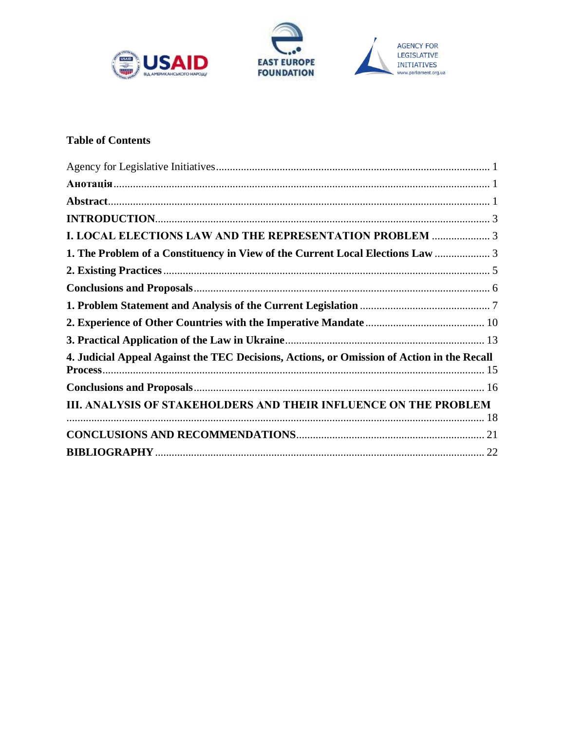





# **Table of Contents**

| <b>I. LOCAL ELECTIONS LAW AND THE REPRESENTATION PROBLEM  3</b>                            |  |
|--------------------------------------------------------------------------------------------|--|
| 1. The Problem of a Constituency in View of the Current Local Elections Law  3             |  |
|                                                                                            |  |
|                                                                                            |  |
|                                                                                            |  |
|                                                                                            |  |
|                                                                                            |  |
| 4. Judicial Appeal Against the TEC Decisions, Actions, or Omission of Action in the Recall |  |
|                                                                                            |  |
| III. ANALYSIS OF STAKEHOLDERS AND THEIR INFLUENCE ON THE PROBLEM                           |  |
|                                                                                            |  |
|                                                                                            |  |
|                                                                                            |  |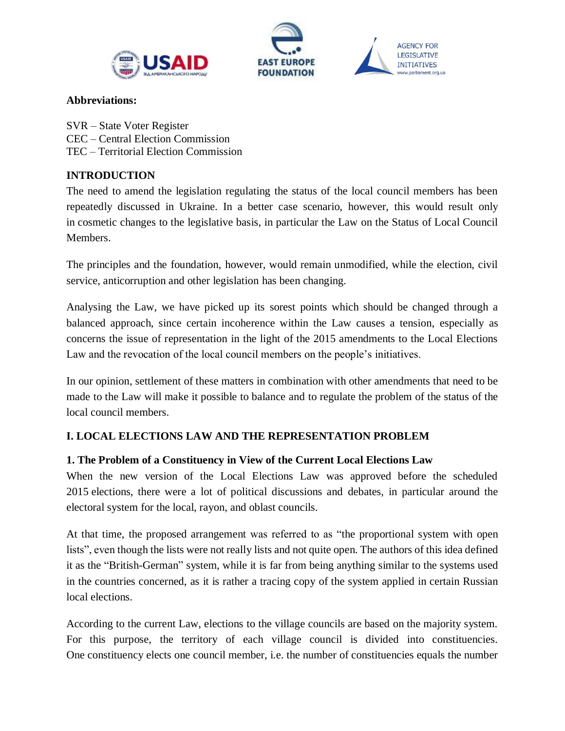





#### **Abbreviations:**

SVR – State Voter Register CEC – Central Election Commission TEC – Territorial Election Commission

# <span id="page-2-0"></span>**INTRODUCTION**

The need to amend the legislation regulating the status of the local council members has been repeatedly discussed in Ukraine. In a better case scenario, however, this would result only in cosmetic changes to the legislative basis, in particular the Law on the Status of Local Council Members.

The principles and the foundation, however, would remain unmodified, while the election, civil service, anticorruption and other legislation has been changing.

Analysing the Law, we have picked up its sorest points which should be changed through a balanced approach, since certain incoherence within the Law causes a tension, especially as concerns the issue of representation in the light of the 2015 amendments to the Local Elections Law and the revocation of the local council members on the people's initiatives.

In our opinion, settlement of these matters in combination with other amendments that need to be made to the Law will make it possible to balance and to regulate the problem of the status of the local council members.

# <span id="page-2-1"></span>**І. LOCAL ELECTIONS LAW AND THE REPRESENTATION PROBLEM**

# <span id="page-2-2"></span>**1. The Problem of a Constituency in View of the Current Local Elections Law**

When the new version of the Local Elections Law was approved before the scheduled 2015 elections, there were a lot of political discussions and debates, in particular around the electoral system for the local, rayon, and oblast councils.

At that time, the proposed arrangement was referred to as "the proportional system with open lists", even though the lists were not really lists and not quite open. The authors of this idea defined it as the "British-German" system, while it is far from being anything similar to the systems used in the countries concerned, as it is rather a tracing copy of the system applied in certain Russian local elections.

According to the current Law, elections to the village councils are based on the majority system. For this purpose, the territory of each village council is divided into constituencies. One constituency elects one council member, i.e. the number of constituencies equals the number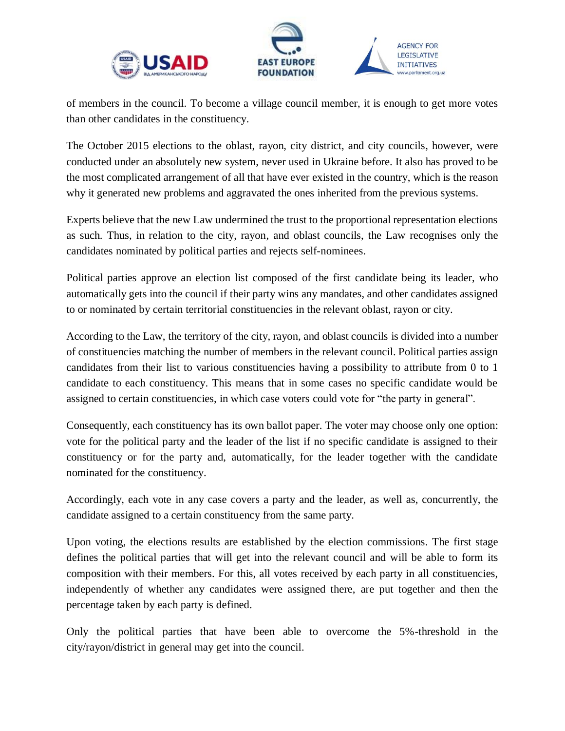



of members in the council. To become a village council member, it is enough to get more votes than other candidates in the constituency.

The October 2015 elections to the oblast, rayon, city district, and city councils, however, were conducted under an absolutely new system, never used in Ukraine before. It also has proved to be the most complicated arrangement of all that have ever existed in the country, which is the reason why it generated new problems and aggravated the ones inherited from the previous systems.

Experts believe that the new Law undermined the trust to the proportional representation elections as such. Thus, in relation to the city, rayon, and oblast councils, the Law recognises only the candidates nominated by political parties and rejects self-nominees.

Political parties approve an election list composed of the first candidate being its leader, who automatically gets into the council if their party wins any mandates, and other candidates assigned to or nominated by certain territorial constituencies in the relevant oblast, rayon or city.

According to the Law, the territory of the city, rayon, and oblast councils is divided into a number of constituencies matching the number of members in the relevant council. Political parties assign candidates from their list to various constituencies having a possibility to attribute from 0 to 1 candidate to each constituency. This means that in some cases no specific candidate would be assigned to certain constituencies, in which case voters could vote for "the party in general".

Consequently, each constituency has its own ballot paper. The voter may choose only one option: vote for the political party and the leader of the list if no specific candidate is assigned to their constituency or for the party and, automatically, for the leader together with the candidate nominated for the constituency.

Accordingly, each vote in any case covers a party and the leader, as well as, concurrently, the candidate assigned to a certain constituency from the same party.

Upon voting, the elections results are established by the election commissions. The first stage defines the political parties that will get into the relevant council and will be able to form its composition with their members. For this, all votes received by each party in all constituencies, independently of whether any candidates were assigned there, are put together and then the percentage taken by each party is defined.

Only the political parties that have been able to overcome the 5%-threshold in the city/rayon/district in general may get into the council.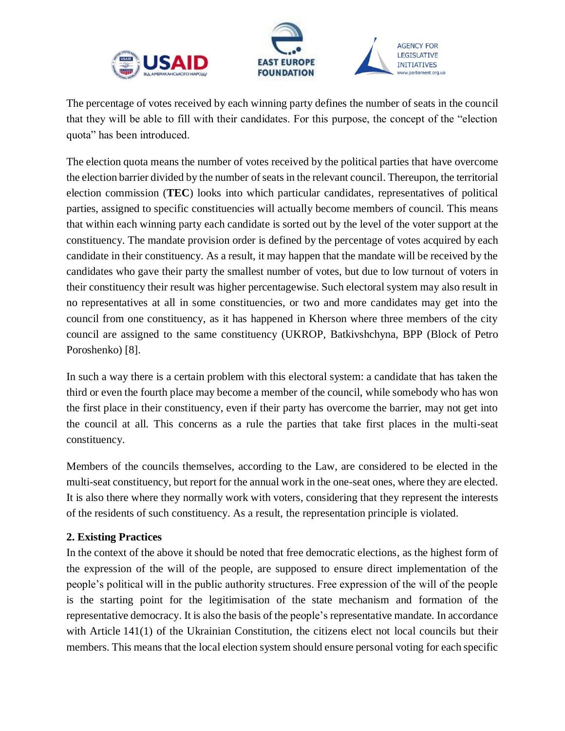





The percentage of votes received by each winning party defines the number of seats in the council that they will be able to fill with their candidates. For this purpose, the concept of the "election quota" has been introduced.

The election quota means the number of votes received by the political parties that have overcome the election barrier divided by the number of seats in the relevant council. Thereupon, the territorial election commission (**TEC**) looks into which particular candidates, representatives of political parties, assigned to specific constituencies will actually become members of council. This means that within each winning party each candidate is sorted out by the level of the voter support at the constituency. The mandate provision order is defined by the percentage of votes acquired by each candidate in their constituency. As a result, it may happen that the mandate will be received by the candidates who gave their party the smallest number of votes, but due to low turnout of voters in their constituency their result was higher percentagewise. Such electoral system may also result in no representatives at all in some constituencies, or two and more candidates may get into the council from one constituency, as it has happened in Kherson where three members of the city council are assigned to the same constituency (UKROP, Batkivshchyna, BPP (Block of Petro Poroshenko) [8].

In such a way there is a certain problem with this electoral system: a candidate that has taken the third or even the fourth place may become a member of the council, while somebody who has won the first place in their constituency, even if their party has overcome the barrier, may not get into the council at all. This concerns as a rule the parties that take first places in the multi-seat constituency.

Members of the councils themselves, according to the Law, are considered to be elected in the multi-seat constituency, but report for the annual work in the one-seat ones, where they are elected. It is also there where they normally work with voters, considering that they represent the interests of the residents of such constituency. As a result, the representation principle is violated.

# <span id="page-4-0"></span>**2. Existing Practices**

In the context of the above it should be noted that free democratic elections, as the highest form of the expression of the will of the people, are supposed to ensure direct implementation of the people's political will in the public authority structures. Free expression of the will of the people is the starting point for the legitimisation of the state mechanism and formation of the representative democracy. It is also the basis of the people's representative mandate. In accordance with Article 141(1) of the Ukrainian Constitution, the citizens elect not local councils but their members. This means that the local election system should ensure personal voting for each specific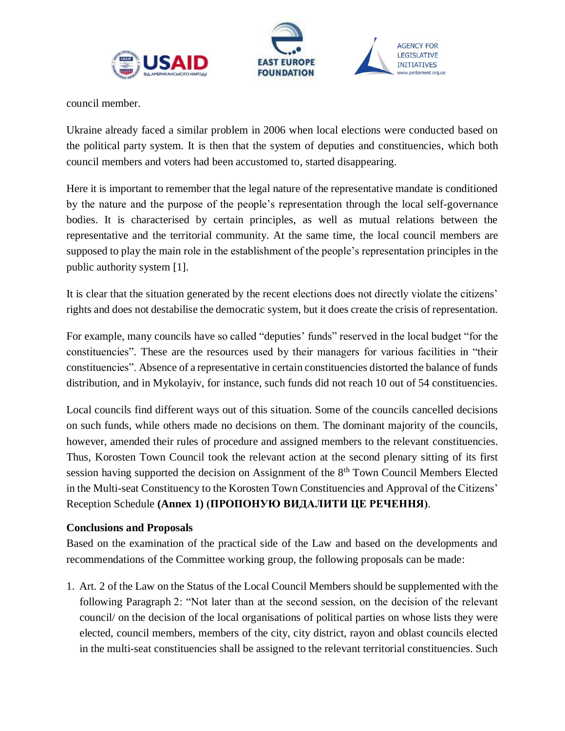



council member.

Ukraine already faced a similar problem in 2006 when local elections were conducted based on the political party system. It is then that the system of deputies and constituencies, which both council members and voters had been accustomed to, started disappearing.

Here it is important to remember that the legal nature of the representative mandate is conditioned by the nature and the purpose of the people's representation through the local self-governance bodies. It is characterised by certain principles, as well as mutual relations between the representative and the territorial community. At the same time, the local council members are supposed to play the main role in the establishment of the people's representation principles in the public authority system [1].

It is clear that the situation generated by the recent elections does not directly violate the citizens' rights and does not destabilise the democratic system, but it does create the crisis of representation.

For example, many councils have so called "deputies' funds" reserved in the local budget "for the constituencies". These are the resources used by their managers for various facilities in "their constituencies". Absence of a representative in certain constituencies distorted the balance of funds distribution, and in Mykolayiv, for instance, such funds did not reach 10 out of 54 constituencies.

Local councils find different ways out of this situation. Some of the councils cancelled decisions on such funds, while others made no decisions on them. The dominant majority of the councils, however, amended their rules of procedure and assigned members to the relevant constituencies. Thus, Korosten Town Council took the relevant action at the second plenary sitting of its first session having supported the decision on Assignment of the 8<sup>th</sup> Town Council Members Elected in the Multi-seat Constituency to the Korosten Town Constituencies and Approval of the Citizens' Reception Schedule **(Annex 1) (ПРОПОНУЮ ВИДАЛИТИ ЦЕ РЕЧЕННЯ)**.

#### <span id="page-5-0"></span>**Conclusions and Proposals**

Based on the examination of the practical side of the Law and based on the developments and recommendations of the Committee working group, the following proposals can be made:

1. Art. 2 of the Law on the Status of the Local Council Members should be supplemented with the following Paragraph 2: "Not later than at the second session, on the decision of the relevant council/ on the decision of the local organisations of political parties on whose lists they were elected, council members, members of the city, city district, rayon and oblast councils elected in the multi-seat constituencies shall be assigned to the relevant territorial constituencies. Such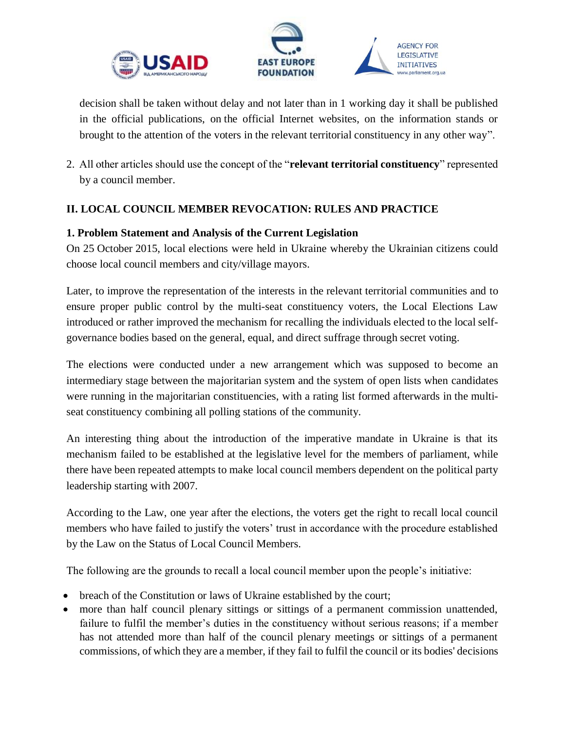



decision shall be taken without delay and not later than in 1 working day it shall be published in the official publications, on the official Internet websites, on the information stands or brought to the attention of the voters in the relevant territorial constituency in any other way".

2. All other articles should use the concept of the "**relevant territorial constituency**" represented by a council member.

# **ІІ. LOCAL COUNCIL MEMBER REVOCATION: RULES AND PRACTICE**

#### <span id="page-6-0"></span>**1. Problem Statement and Analysis of the Current Legislation**

On 25 October 2015, local elections were held in Ukraine whereby the Ukrainian citizens could choose local council members and city/village mayors.

Later, to improve the representation of the interests in the relevant territorial communities and to ensure proper public control by the multi-seat constituency voters, the Local Elections Law introduced or rather improved the mechanism for recalling the individuals elected to the local selfgovernance bodies based on the general, equal, and direct suffrage through secret voting.

The elections were conducted under a new arrangement which was supposed to become an intermediary stage between the majoritarian system and the system of open lists when candidates were running in the majoritarian constituencies, with a rating list formed afterwards in the multiseat constituency combining all polling stations of the community.

An interesting thing about the introduction of the imperative mandate in Ukraine is that its mechanism failed to be established at the legislative level for the members of parliament, while there have been repeated attempts to make local council members dependent on the political party leadership starting with 2007.

According to the Law, one year after the elections, the voters get the right to recall local council members who have failed to justify the voters' trust in accordance with the procedure established by the Law on the Status of Local Council Members.

The following are the grounds to recall a local council member upon the people's initiative:

- breach of the Constitution or laws of Ukraine established by the court;
- more than half council plenary sittings or sittings of a permanent commission unattended, failure to fulfil the member's duties in the constituency without serious reasons; if a member has not attended more than half of the council plenary meetings or sittings of a permanent commissions, of which they are a member, if they fail to fulfil the council or its bodies' decisions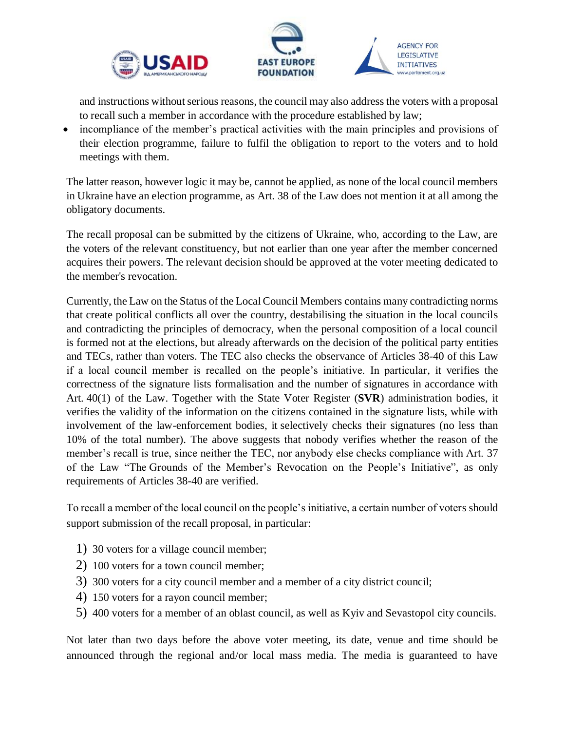



and instructions without serious reasons, the council may also address the voters with a proposal to recall such a member in accordance with the procedure established by law;

• incompliance of the member's practical activities with the main principles and provisions of their election programme, failure to fulfil the obligation to report to the voters and to hold meetings with them.

The latter reason, however logic it may be, cannot be applied, as none of the local council members in Ukraine have an election programme, as Art. 38 of the Law does not mention it at all among the obligatory documents.

The recall proposal can be submitted by the citizens of Ukraine, who, according to the Law, are the voters of the relevant constituency, but not earlier than one year after the member concerned acquires their powers. The relevant decision should be approved at the voter meeting dedicated to the member's revocation.

Currently, the Law on the Status of the Local Council Members contains many contradicting norms that create political conflicts all over the country, destabilising the situation in the local councils and contradicting the principles of democracy, when the personal composition of a local council is formed not at the elections, but already afterwards on the decision of the political party entities and TECs, rather than voters. The TEC also checks the observance of Articles 38-40 of this Law if a local council member is recalled on the people's initiative. In particular, it verifies the correctness of the signature lists formalisation and the number of signatures in accordance with Art. 40(1) of the Law. Together with the State Voter Register (**SVR**) administration bodies, it verifies the validity of the information on the citizens contained in the signature lists, while with involvement of the law-enforcement bodies, it selectively checks their signatures (no less than 10% of the total number). The above suggests that nobody verifies whether the reason of the member's recall is true, since neither the TEC, nor anybody else checks compliance with Art. 37 of the Law "The Grounds of the Member's Revocation on the People's Initiative", as only requirements of Articles 38-40 are verified.

To recall a member of the local council on the people's initiative, a certain number of voters should support submission of the recall proposal, in particular:

- 1) 30 voters for a village council member;
- 2) 100 voters for a town council member;
- 3) 300 voters for a city council member and a member of a city district council;
- 4) 150 voters for a rayon council member;
- 5) 400 voters for a member of an oblast council, as well as Kyiv and Sevastopol city councils.

Not later than two days before the above voter meeting, its date, venue and time should be announced through the regional and/or local mass media. The media is guaranteed to have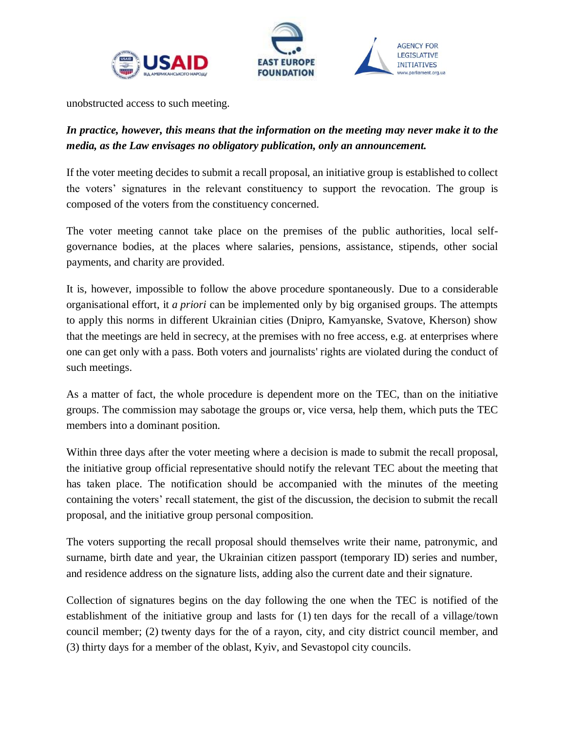



unobstructed access to such meeting.

# *In practice, however, this means that the information on the meeting may never make it to the media, as the Law envisages no obligatory publication, only an announcement.*

If the voter meeting decides to submit a recall proposal, an initiative group is established to collect the voters' signatures in the relevant constituency to support the revocation. The group is composed of the voters from the constituency concerned.

The voter meeting cannot take place on the premises of the public authorities, local selfgovernance bodies, at the places where salaries, pensions, assistance, stipends, other social payments, and charity are provided.

It is, however, impossible to follow the above procedure spontaneously. Due to a considerable organisational effort, it *a priori* can be implemented only by big organised groups. The attempts to apply this norms in different Ukrainian cities (Dnipro, Kamyanske, Svatove, Kherson) show that the meetings are held in secrecy, at the premises with no free access, e.g. at enterprises where one can get only with a pass. Both voters and journalists' rights are violated during the conduct of such meetings.

As a matter of fact, the whole procedure is dependent more on the TEC, than on the initiative groups. The commission may sabotage the groups or, vice versa, help them, which puts the TEC members into a dominant position.

Within three days after the voter meeting where a decision is made to submit the recall proposal, the initiative group official representative should notify the relevant TEC about the meeting that has taken place. The notification should be accompanied with the minutes of the meeting containing the voters' recall statement, the gist of the discussion, the decision to submit the recall proposal, and the initiative group personal composition.

The voters supporting the recall proposal should themselves write their name, patronymic, and surname, birth date and year, the Ukrainian citizen passport (temporary ID) series and number, and residence address on the signature lists, adding also the current date and their signature.

Collection of signatures begins on the day following the one when the TEC is notified of the establishment of the initiative group and lasts for (1) ten days for the recall of a village/town council member; (2) twenty days for the of a rayon, city, and city district council member, and (3) thirty days for a member of the oblast, Kyiv, and Sevastopol city councils.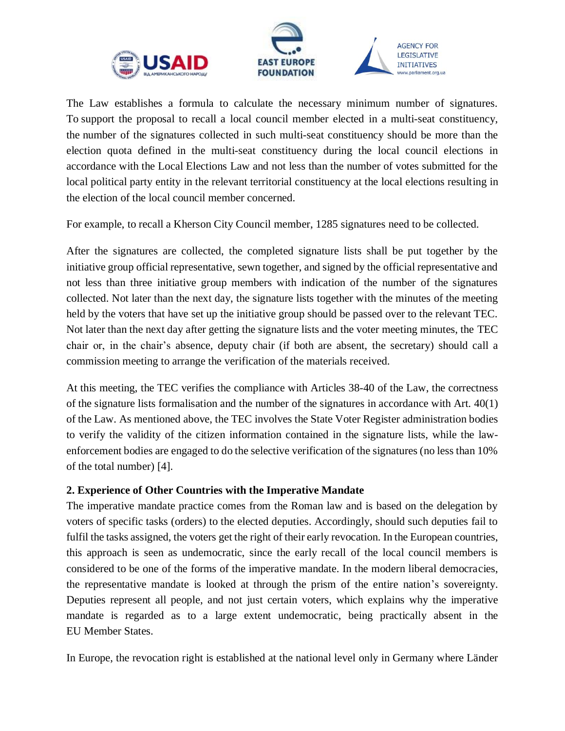



The Law establishes a formula to calculate the necessary minimum number of signatures. To support the proposal to recall a local council member elected in a multi-seat constituency, the number of the signatures collected in such multi-seat constituency should be more than the election quota defined in the multi-seat constituency during the local council elections in accordance with the Local Elections Law and not less than the number of votes submitted for the local political party entity in the relevant territorial constituency at the local elections resulting in the election of the local council member concerned.

For example, to recall a Kherson City Council member, 1285 signatures need to be collected.

After the signatures are collected, the completed signature lists shall be put together by the initiative group official representative, sewn together, and signed by the official representative and not less than three initiative group members with indication of the number of the signatures collected. Not later than the next day, the signature lists together with the minutes of the meeting held by the voters that have set up the initiative group should be passed over to the relevant TEC. Not later than the next day after getting the signature lists and the voter meeting minutes, the TEC chair or, in the chair's absence, deputy chair (if both are absent, the secretary) should call a commission meeting to arrange the verification of the materials received.

At this meeting, the TEC verifies the compliance with Articles 38-40 of the Law, the correctness of the signature lists formalisation and the number of the signatures in accordance with Art. 40(1) of the Law. As mentioned above, the TEC involves the State Voter Register administration bodies to verify the validity of the citizen information contained in the signature lists, while the lawenforcement bodies are engaged to do the selective verification of the signatures (no less than 10% of the total number) [4].

#### <span id="page-9-0"></span>**2. Experience of Other Countries with the Imperative Mandate**

The imperative mandate practice comes from the Roman law and is based on the delegation by voters of specific tasks (orders) to the elected deputies. Accordingly, should such deputies fail to fulfil the tasks assigned, the voters get the right of their early revocation. In the European countries, this approach is seen as undemocratic, since the early recall of the local council members is considered to be one of the forms of the imperative mandate. In the modern liberal democracies, the representative mandate is looked at through the prism of the entire nation's sovereignty. Deputies represent all people, and not just certain voters, which explains why the imperative mandate is regarded as to a large extent undemocratic, being practically absent in the EU Member States.

In Europe, the revocation right is established at the national level only in Germany where Länder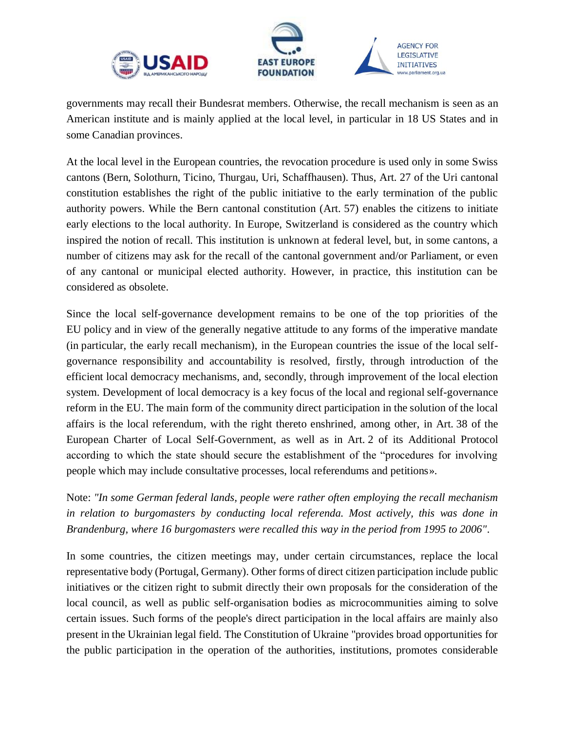



governments may recall their Bundesrat members. Otherwise, the recall mechanism is seen as an American institute and is mainly applied at the local level, in particular in 18 US States and in some Canadian provinces.

At the local level in the European countries, the revocation procedure is used only in some Swiss cantons (Bern, Solothurn, Ticino, Thurgau, Uri, Schaffhausen). Thus, Art. 27 of the Uri cantonal constitution establishes the right of the public initiative to the early termination of the public authority powers. While the Bern cantonal constitution (Art. 57) enables the citizens to initiate early elections to the local authority. In Europe, Switzerland is considered as the country which inspired the notion of recall. This institution is unknown at federal level, but, in some cantons, a number of citizens may ask for the recall of the cantonal government and/or Parliament, or even of any cantonal or municipal elected authority. However, in practice, this institution can be considered as obsolete.

Since the local self-governance development remains to be one of the top priorities of the EU policy and in view of the generally negative attitude to any forms of the imperative mandate (in particular, the early recall mechanism), in the European countries the issue of the local selfgovernance responsibility and accountability is resolved, firstly, through introduction of the efficient local democracy mechanisms, and, secondly, through improvement of the local election system. Development of local democracy is a key focus of the local and regional self-governance reform in the EU. The main form of the community direct participation in the solution of the local affairs is the local referendum, with the right thereto enshrined, among other, in Art. 38 of the European Charter of Local Self-Government, as well as in Art. 2 of its Additional Protocol according to which the state should secure the establishment of the "procedures for involving people which may include consultative processes, local referendums and petitions».

Note: *"In some German federal lands, people were rather often employing the recall mechanism in relation to burgomasters by conducting local referenda. Most actively, this was done in Brandenburg, where 16 burgomasters were recalled this way in the period from 1995 to 2006"*.

In some countries, the citizen meetings may, under certain circumstances, replace the local representative body (Portugal, Germany). Other forms of direct citizen participation include public initiatives or the citizen right to submit directly their own proposals for the consideration of the local council, as well as public self-organisation bodies as microcommunities aiming to solve certain issues. Such forms of the people's direct participation in the local affairs are mainly also present in the Ukrainian legal field. The Constitution of Ukraine "provides broad opportunities for the public participation in the operation of the authorities, institutions, promotes considerable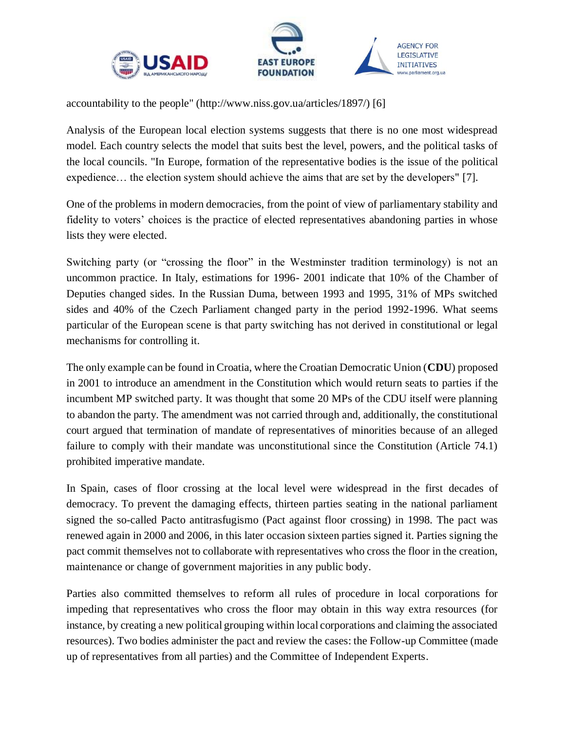



accountability to the people" (http://www.niss.gov.ua/articles/1897/) [6]

Analysis of the European local election systems suggests that there is no one most widespread model. Each country selects the model that suits best the level, powers, and the political tasks of the local councils. "In Europe, formation of the representative bodies is the issue of the political expedience… the election system should achieve the aims that are set by the developers" [7].

One of the problems in modern democracies, from the point of view of parliamentary stability and fidelity to voters' choices is the practice of elected representatives abandoning parties in whose lists they were elected.

Switching party (or "crossing the floor" in the Westminster tradition terminology) is not an uncommon practice. In Italy, estimations for 1996- 2001 indicate that 10% of the Chamber of Deputies changed sides. In the Russian Duma, between 1993 and 1995, 31% of MPs switched sides and 40% of the Czech Parliament changed party in the period 1992-1996. What seems particular of the European scene is that party switching has not derived in constitutional or legal mechanisms for controlling it.

The only example can be found in Croatia, where the Croatian Democratic Union (**CDU**) proposed in 2001 to introduce an amendment in the Constitution which would return seats to parties if the incumbent MP switched party. It was thought that some 20 MPs of the CDU itself were planning to abandon the party. The amendment was not carried through and, additionally, the constitutional court argued that termination of mandate of representatives of minorities because of an alleged failure to comply with their mandate was unconstitutional since the Constitution (Article 74.1) prohibited imperative mandate.

In Spain, cases of floor crossing at the local level were widespread in the first decades of democracy. To prevent the damaging effects, thirteen parties seating in the national parliament signed the so-called Pacto antitrasfugismo (Pact against floor crossing) in 1998. The pact was renewed again in 2000 and 2006, in this later occasion sixteen parties signed it. Parties signing the pact commit themselves not to collaborate with representatives who cross the floor in the creation, maintenance or change of government majorities in any public body.

Parties also committed themselves to reform all rules of procedure in local corporations for impeding that representatives who cross the floor may obtain in this way extra resources (for instance, by creating a new political grouping within local corporations and claiming the associated resources). Two bodies administer the pact and review the cases: the Follow-up Committee (made up of representatives from all parties) and the Committee of Independent Experts.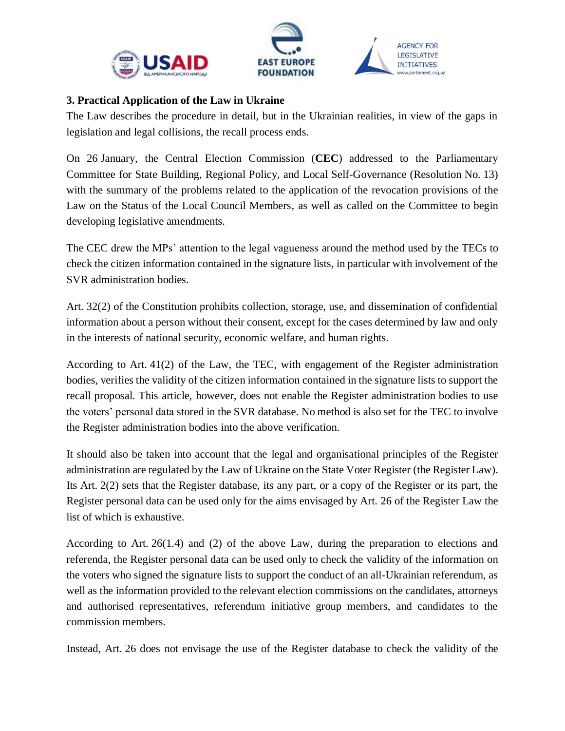



#### <span id="page-12-0"></span>**3. Practical Application of the Law in Ukraine**

The Law describes the procedure in detail, but in the Ukrainian realities, in view of the gaps in legislation and legal collisions, the recall process ends.

On 26 January, the Central Election Commission (**CEC**) addressed to the Parliamentary Committee for State Building, Regional Policy, and Local Self-Governance (Resolution No. 13) with the summary of the problems related to the application of the revocation provisions of the Law on the Status of the Local Council Members, as well as called on the Committee to begin developing legislative amendments.

The CEC drew the MPs' attention to the legal vagueness around the method used by the TECs to check the citizen information contained in the signature lists, in particular with involvement of the SVR administration bodies.

Art. 32(2) of the Constitution prohibits collection, storage, use, and dissemination of confidential information about a person without their consent, except for the cases determined by law and only in the interests of national security, economic welfare, and human rights.

According to Art. 41(2) of the Law, the TEC, with engagement of the Register administration bodies, verifies the validity of the citizen information contained in the signature lists to support the recall proposal. This article, however, does not enable the Register administration bodies to use the voters' personal data stored in the SVR database. No method is also set for the TEC to involve the Register administration bodies into the above verification.

It should also be taken into account that the legal and organisational principles of the Register administration are regulated by the Law of Ukraine on the State Voter Register (the Register Law). Its Art. 2(2) sets that the Register database, its any part, or a copy of the Register or its part, the Register personal data can be used only for the aims envisaged by Art. 26 of the Register Law the list of which is exhaustive.

According to Art. 26(1.4) and (2) of the above Law, during the preparation to elections and referenda, the Register personal data can be used only to check the validity of the information on the voters who signed the signature lists to support the conduct of an all-Ukrainian referendum, as well as the information provided to the relevant election commissions on the candidates, attorneys and authorised representatives, referendum initiative group members, and candidates to the commission members.

Instead, Art. 26 does not envisage the use of the Register database to check the validity of the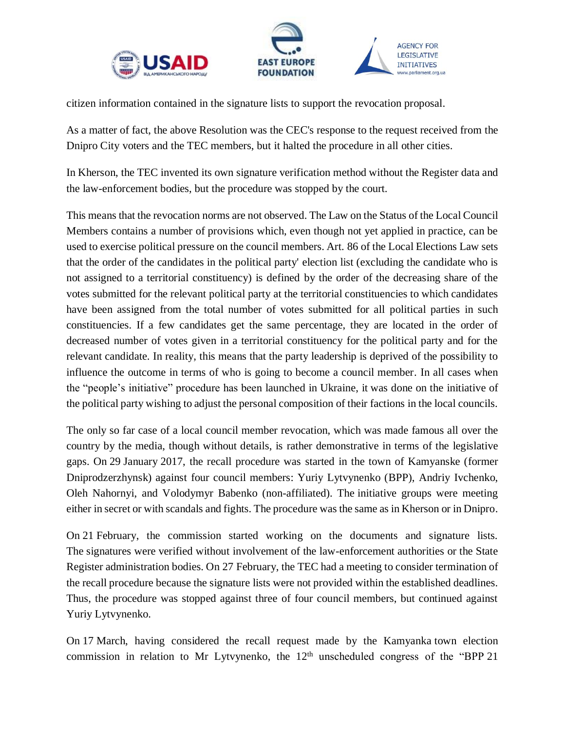



citizen information contained in the signature lists to support the revocation proposal.

As a matter of fact, the above Resolution was the CEC's response to the request received from the Dnipro City voters and the TEC members, but it halted the procedure in all other cities.

In Kherson, the TEC invented its own signature verification method without the Register data and the law-enforcement bodies, but the procedure was stopped by the court.

This means that the revocation norms are not observed. The Law on the Status of the Local Council Members contains a number of provisions which, even though not yet applied in practice, can be used to exercise political pressure on the council members. Art. 86 of the Local Elections Law sets that the order of the candidates in the political party' election list (excluding the candidate who is not assigned to a territorial constituency) is defined by the order of the decreasing share of the votes submitted for the relevant political party at the territorial constituencies to which candidates have been assigned from the total number of votes submitted for all political parties in such constituencies. If a few candidates get the same percentage, they are located in the order of decreased number of votes given in a territorial constituency for the political party and for the relevant candidate. In reality, this means that the party leadership is deprived of the possibility to influence the outcome in terms of who is going to become a council member. In all cases when the "people's initiative" procedure has been launched in Ukraine, it was done on the initiative of the political party wishing to adjust the personal composition of their factions in the local councils.

The only so far case of a local council member revocation, which was made famous all over the country by the media, though without details, is rather demonstrative in terms of the legislative gaps. On 29 January 2017, the recall procedure was started in the town of Kamyanske (former Dniprodzerzhynsk) against four council members: Yuriy Lytvynenko (BPP), Andriy Ivchenko, Oleh Nahornyi, and Volodymyr Babenko (non-affiliated). The initiative groups were meeting either in secret or with scandals and fights. The procedure was the same as in Kherson or in Dnipro.

On 21 February, the commission started working on the documents and signature lists. The signatures were verified without involvement of the law-enforcement authorities or the State Register administration bodies. On 27 February, the TEC had a meeting to consider termination of the recall procedure because the signature lists were not provided within the established deadlines. Thus, the procedure was stopped against three of four council members, but continued against Yuriy Lytvynenko.

On 17 March, having considered the recall request made by the Kamyanka town election commission in relation to Mr Lytvynenko, the  $12<sup>th</sup>$  unscheduled congress of the "BPP 21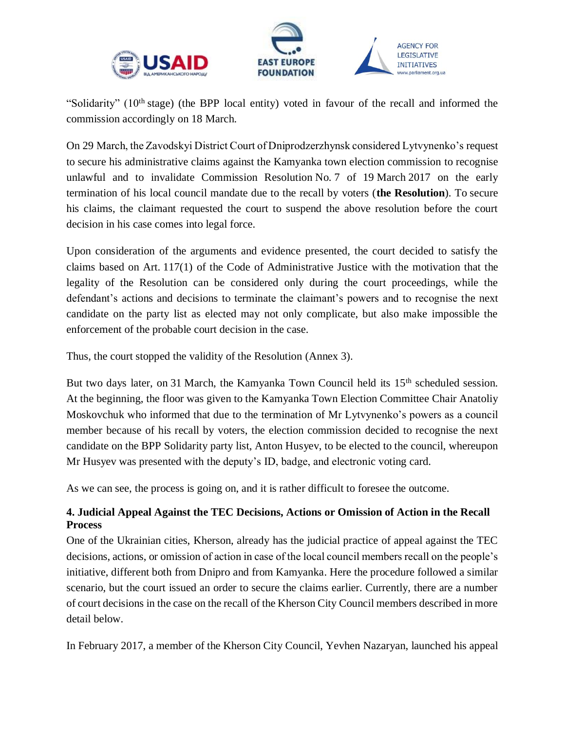



"Solidarity" (10th stage) (the BPP local entity) voted in favour of the recall and informed the commission accordingly on 18 March.

On 29 March, the Zavodskyi District Court of Dniprodzerzhynsk considered Lytvynenko's request to secure his administrative claims against the Kamyanka town election commission to recognise unlawful and to invalidate Commission Resolution No. 7 of 19 March 2017 on the early termination of his local council mandate due to the recall by voters (**the Resolution**). To secure his claims, the claimant requested the court to suspend the above resolution before the court decision in his case comes into legal force.

Upon consideration of the arguments and evidence presented, the court decided to satisfy the claims based on Art. 117(1) of the Code of Administrative Justice with the motivation that the legality of the Resolution can be considered only during the court proceedings, while the defendant's actions and decisions to terminate the claimant's powers and to recognise the next candidate on the party list as elected may not only complicate, but also make impossible the enforcement of the probable court decision in the case.

Thus, the court stopped the validity of the Resolution (Annex 3).

But two days later, on 31 March, the Kamyanka Town Council held its 15<sup>th</sup> scheduled session. At the beginning, the floor was given to the Kamyanka Town Election Committee Chair Anatoliy Moskovchuk who informed that due to the termination of Mr Lytvynenko's powers as a council member because of his recall by voters, the election commission decided to recognise the next candidate on the BPP Solidarity party list, Anton Husyev, to be elected to the council, whereupon Mr Husyev was presented with the deputy's ID, badge, and electronic voting card.

As we can see, the process is going on, and it is rather difficult to foresee the outcome.

# <span id="page-14-0"></span>**4. Judicial Appeal Against the TEC Decisions, Actions or Omission of Action in the Recall Process**

One of the Ukrainian cities, Kherson, already has the judicial practice of appeal against the TEC decisions, actions, or omission of action in case of the local council members recall on the people's initiative, different both from Dnipro and from Kamyanka. Here the procedure followed a similar scenario, but the court issued an order to secure the claims earlier. Currently, there are a number of court decisions in the case on the recall of the Kherson City Council members described in more detail below.

In February 2017, a member of the Kherson City Council, Yevhen Nazaryan, launched his appeal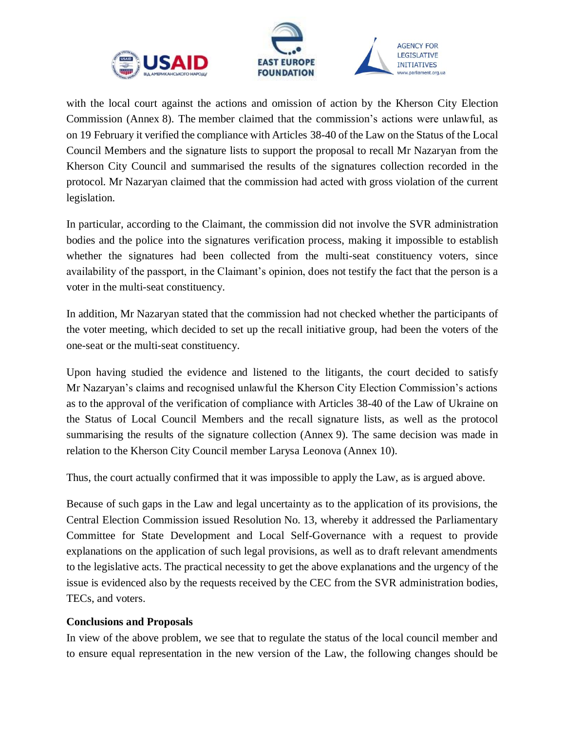



with the local court against the actions and omission of action by the Kherson City Election Commission (Annex 8). The member claimed that the commission's actions were unlawful, as on 19 February it verified the compliance with Articles 38-40 of the Law on the Status of the Local Council Members and the signature lists to support the proposal to recall Mr Nazaryan from the Kherson City Council and summarised the results of the signatures collection recorded in the protocol. Mr Nazaryan claimed that the commission had acted with gross violation of the current legislation.

In particular, according to the Claimant, the commission did not involve the SVR administration bodies and the police into the signatures verification process, making it impossible to establish whether the signatures had been collected from the multi-seat constituency voters, since availability of the passport, in the Claimant's opinion, does not testify the fact that the person is a voter in the multi-seat constituency.

In addition, Mr Nazaryan stated that the commission had not checked whether the participants of the voter meeting, which decided to set up the recall initiative group, had been the voters of the one-seat or the multi-seat constituency.

Upon having studied the evidence and listened to the litigants, the court decided to satisfy Mr Nazaryan's claims and recognised unlawful the Kherson City Election Commission's actions as to the approval of the verification of compliance with Articles 38-40 of the Law of Ukraine on the Status of Local Council Members and the recall signature lists, as well as the protocol summarising the results of the signature collection (Annex 9). The same decision was made in relation to the Kherson City Council member Larysa Leonova (Annex 10).

Thus, the court actually confirmed that it was impossible to apply the Law, as is argued above.

Because of such gaps in the Law and legal uncertainty as to the application of its provisions, the Central Election Commission issued Resolution No. 13, whereby it addressed the Parliamentary Committee for State Development and Local Self-Governance with a request to provide explanations on the application of such legal provisions, as well as to draft relevant amendments to the legislative acts. The practical necessity to get the above explanations and the urgency of the issue is evidenced also by the requests received by the CEC from the SVR administration bodies, TECs, and voters.

#### <span id="page-15-0"></span>**Conclusions and Proposals**

In view of the above problem, we see that to regulate the status of the local council member and to ensure equal representation in the new version of the Law, the following changes should be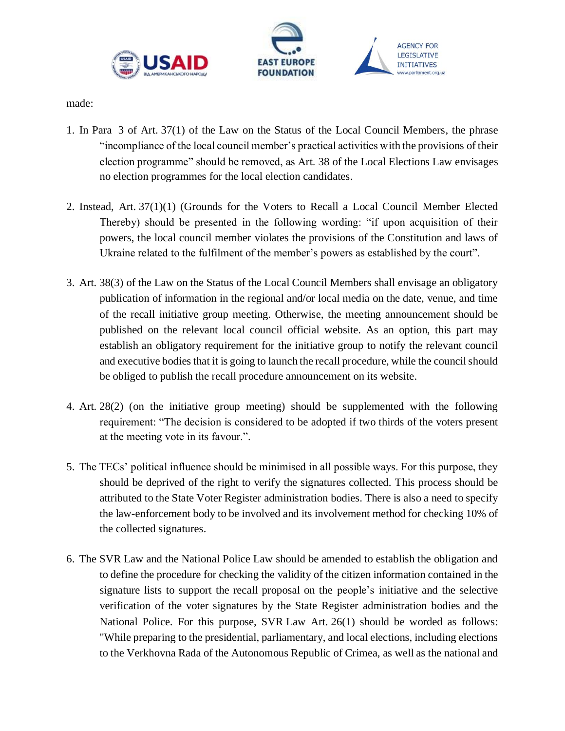



made:

- 1. In Para 3 of Art. 37(1) of the Law on the Status of the Local Council Members, the phrase "incompliance of the local council member's practical activities with the provisions of their election programme" should be removed, as Art. 38 of the Local Elections Law envisages no election programmes for the local election candidates.
- 2. Instead, Art. 37(1)(1) (Grounds for the Voters to Recall a Local Council Member Elected Thereby) should be presented in the following wording: "if upon acquisition of their powers, the local council member violates the provisions of the Constitution and laws of Ukraine related to the fulfilment of the member's powers as established by the court".
- 3. Art. 38(3) of the Law on the Status of the Local Council Members shall envisage an obligatory publication of information in the regional and/or local media on the date, venue, and time of the recall initiative group meeting. Otherwise, the meeting announcement should be published on the relevant local council official website. As an option, this part may establish an obligatory requirement for the initiative group to notify the relevant council and executive bodies that it is going to launch the recall procedure, while the council should be obliged to publish the recall procedure announcement on its website.
- 4. Art. 28(2) (on the initiative group meeting) should be supplemented with the following requirement: "The decision is considered to be adopted if two thirds of the voters present at the meeting vote in its favour.".
- 5. The TECs' political influence should be minimised in all possible ways. For this purpose, they should be deprived of the right to verify the signatures collected. This process should be attributed to the State Voter Register administration bodies. There is also a need to specify the law-enforcement body to be involved and its involvement method for checking 10% of the collected signatures.
- 6. The SVR Law and the National Police Law should be amended to establish the obligation and to define the procedure for checking the validity of the citizen information contained in the signature lists to support the recall proposal on the people's initiative and the selective verification of the voter signatures by the State Register administration bodies and the National Police. For this purpose, SVR Law Art. 26(1) should be worded as follows: "While preparing to the presidential, parliamentary, and local elections, including elections to the Verkhovna Rada of the Autonomous Republic of Crimea, as well as the national and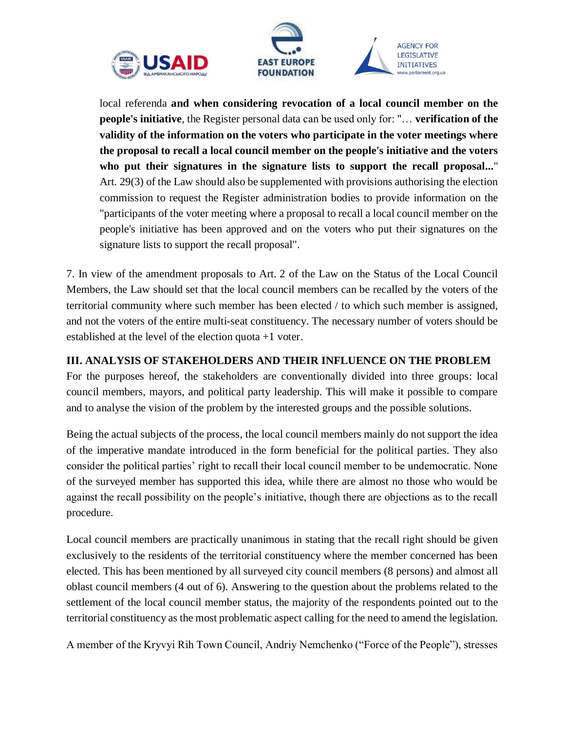



AGENCY FOR **LEGISLATIVE INITIATIVES** 

local referenda **and when considering revocation of a local council member on the people's initiative**, the Register personal data can be used only for: "… **verification of the validity of the information on the voters who participate in the voter meetings where the proposal to recall a local council member on the people's initiative and the voters who put their signatures in the signature lists to support the recall proposal...**" Art. 29(3) of the Law should also be supplemented with provisions authorising the election commission to request the Register administration bodies to provide information on the "participants of the voter meeting where a proposal to recall a local council member on the people's initiative has been approved and on the voters who put their signatures on the signature lists to support the recall proposal".

7. In view of the amendment proposals to Art. 2 of the Law on the Status of the Local Council Members, the Law should set that the local council members can be recalled by the voters of the territorial community where such member has been elected / to which such member is assigned, and not the voters of the entire multi-seat constituency. The necessary number of voters should be established at the level of the election quota +1 voter.

### <span id="page-17-0"></span>**ІІІ. ANALYSIS OF STAKEHOLDERS AND THEIR INFLUENCE ON THE PROBLEM**

For the purposes hereof, the stakeholders are conventionally divided into three groups: local council members, mayors, and political party leadership. This will make it possible to compare and to analyse the vision of the problem by the interested groups and the possible solutions.

Being the actual subjects of the process, the local council members mainly do not support the idea of the imperative mandate introduced in the form beneficial for the political parties. They also consider the political parties' right to recall their local council member to be undemocratic. None of the surveyed member has supported this idea, while there are almost no those who would be against the recall possibility on the people's initiative, though there are objections as to the recall procedure.

Local council members are practically unanimous in stating that the recall right should be given exclusively to the residents of the territorial constituency where the member concerned has been elected. This has been mentioned by all surveyed city council members (8 persons) and almost all oblast council members (4 out of 6). Answering to the question about the problems related to the settlement of the local council member status, the majority of the respondents pointed out to the territorial constituency as the most problematic aspect calling for the need to amend the legislation.

A member of the Kryvyi Rih Town Council, Andriy Nemchenko ("Force of the People"), stresses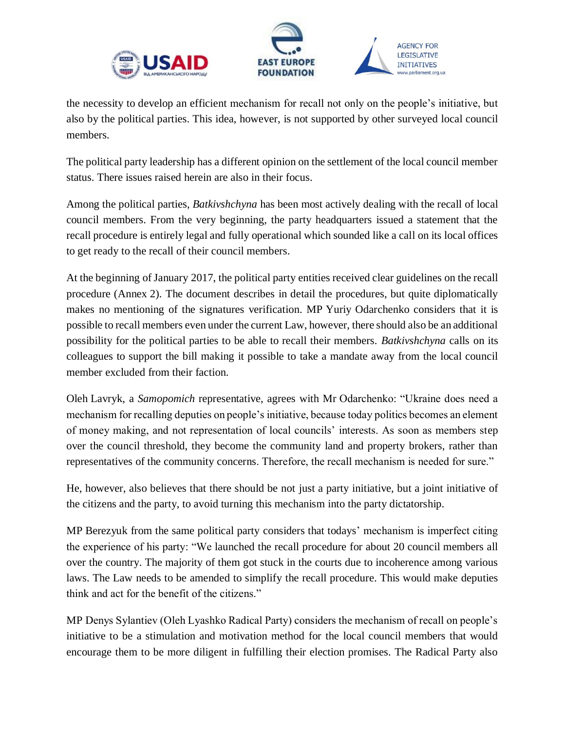



the necessity to develop an efficient mechanism for recall not only on the people's initiative, but also by the political parties. This idea, however, is not supported by other surveyed local council members.

The political party leadership has a different opinion on the settlement of the local council member status. There issues raised herein are also in their focus.

Among the political parties, *Batkivshchyna* has been most actively dealing with the recall of local council members. From the very beginning, the party headquarters issued a statement that the recall procedure is entirely legal and fully operational which sounded like a call on its local offices to get ready to the recall of their council members.

At the beginning of January 2017, the political party entities received clear guidelines on the recall procedure (Annex 2). The document describes in detail the procedures, but quite diplomatically makes no mentioning of the signatures verification. MP Yuriy Odarchenko considers that it is possible to recall members even under the current Law, however, there should also be an additional possibility for the political parties to be able to recall their members. *Batkivshchyna* calls on its colleagues to support the bill making it possible to take a mandate away from the local council member excluded from their faction.

Oleh Lavryk, a *Samopomich* representative, agrees with Mr Odarchenko: "Ukraine does need a mechanism for recalling deputies on people's initiative, because today politics becomes an element of money making, and not representation of local councils' interests. As soon as members step over the council threshold, they become the community land and property brokers, rather than representatives of the community concerns. Therefore, the recall mechanism is needed for sure."

He, however, also believes that there should be not just a party initiative, but a joint initiative of the citizens and the party, to avoid turning this mechanism into the party dictatorship.

MP Berezyuk from the same political party considers that todays' mechanism is imperfect citing the experience of his party: "We launched the recall procedure for about 20 council members all over the country. The majority of them got stuck in the courts due to incoherence among various laws. The Law needs to be amended to simplify the recall procedure. This would make deputies think and act for the benefit of the citizens."

MP Denys Sylantiev (Oleh Lyashko Radical Party) considers the mechanism of recall on people's initiative to be a stimulation and motivation method for the local council members that would encourage them to be more diligent in fulfilling their election promises. The Radical Party also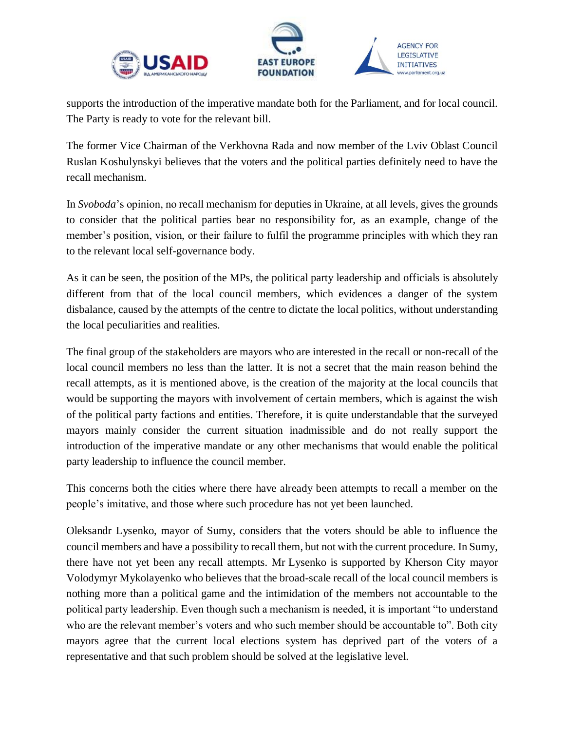



supports the introduction of the imperative mandate both for the Parliament, and for local council. The Party is ready to vote for the relevant bill.

The former Vice Chairman of the Verkhovna Rada and now member of the Lviv Oblast Council Ruslan Koshulynskyi believes that the voters and the political parties definitely need to have the recall mechanism.

In *Svoboda*'s opinion, no recall mechanism for deputies in Ukraine, at all levels, gives the grounds to consider that the political parties bear no responsibility for, as an example, change of the member's position, vision, or their failure to fulfil the programme principles with which they ran to the relevant local self-governance body.

As it can be seen, the position of the MPs, the political party leadership and officials is absolutely different from that of the local council members, which evidences a danger of the system disbalance, caused by the attempts of the centre to dictate the local politics, without understanding the local peculiarities and realities.

The final group of the stakeholders are mayors who are interested in the recall or non-recall of the local council members no less than the latter. It is not a secret that the main reason behind the recall attempts, as it is mentioned above, is the creation of the majority at the local councils that would be supporting the mayors with involvement of certain members, which is against the wish of the political party factions and entities. Therefore, it is quite understandable that the surveyed mayors mainly consider the current situation inadmissible and do not really support the introduction of the imperative mandate or any other mechanisms that would enable the political party leadership to influence the council member.

This concerns both the cities where there have already been attempts to recall a member on the people's imitative, and those where such procedure has not yet been launched.

Oleksandr Lysenko, mayor of Sumy, considers that the voters should be able to influence the council members and have a possibility to recall them, but not with the current procedure. In Sumy, there have not yet been any recall attempts. Mr Lysenko is supported by Kherson City mayor Volodymyr Mykolayenko who believes that the broad-scale recall of the local council members is nothing more than a political game and the intimidation of the members not accountable to the political party leadership. Even though such a mechanism is needed, it is important "to understand who are the relevant member's voters and who such member should be accountable to". Both city mayors agree that the current local elections system has deprived part of the voters of a representative and that such problem should be solved at the legislative level.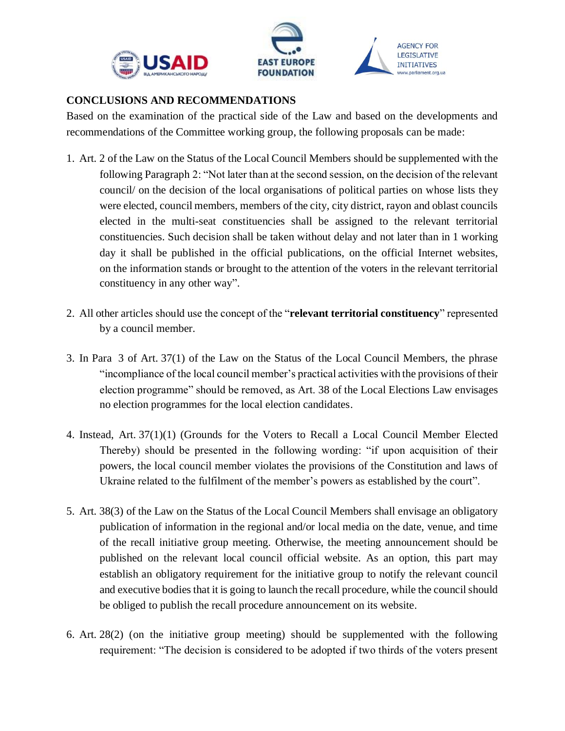



**AGENCY FOR LEGISLATIVE INITIATIVES** www.parliament.org.ua

#### <span id="page-20-0"></span>**CONCLUSIONS AND RECOMMENDATIONS**

Based on the examination of the practical side of the Law and based on the developments and recommendations of the Committee working group, the following proposals can be made:

- 1. Art. 2 of the Law on the Status of the Local Council Members should be supplemented with the following Paragraph 2: "Not later than at the second session, on the decision of the relevant council/ on the decision of the local organisations of political parties on whose lists they were elected, council members, members of the city, city district, rayon and oblast councils elected in the multi-seat constituencies shall be assigned to the relevant territorial constituencies. Such decision shall be taken without delay and not later than in 1 working day it shall be published in the official publications, on the official Internet websites, on the information stands or brought to the attention of the voters in the relevant territorial constituency in any other way".
- 2. All other articles should use the concept of the "**relevant territorial constituency**" represented by a council member.
- 3. In Para 3 of Art. 37(1) of the Law on the Status of the Local Council Members, the phrase "incompliance of the local council member's practical activities with the provisions of their election programme" should be removed, as Art. 38 of the Local Elections Law envisages no election programmes for the local election candidates.
- 4. Instead, Art. 37(1)(1) (Grounds for the Voters to Recall a Local Council Member Elected Thereby) should be presented in the following wording: "if upon acquisition of their powers, the local council member violates the provisions of the Constitution and laws of Ukraine related to the fulfilment of the member's powers as established by the court".
- 5. Art. 38(3) of the Law on the Status of the Local Council Members shall envisage an obligatory publication of information in the regional and/or local media on the date, venue, and time of the recall initiative group meeting. Otherwise, the meeting announcement should be published on the relevant local council official website. As an option, this part may establish an obligatory requirement for the initiative group to notify the relevant council and executive bodies that it is going to launch the recall procedure, while the council should be obliged to publish the recall procedure announcement on its website.
- 6. Art. 28(2) (on the initiative group meeting) should be supplemented with the following requirement: "The decision is considered to be adopted if two thirds of the voters present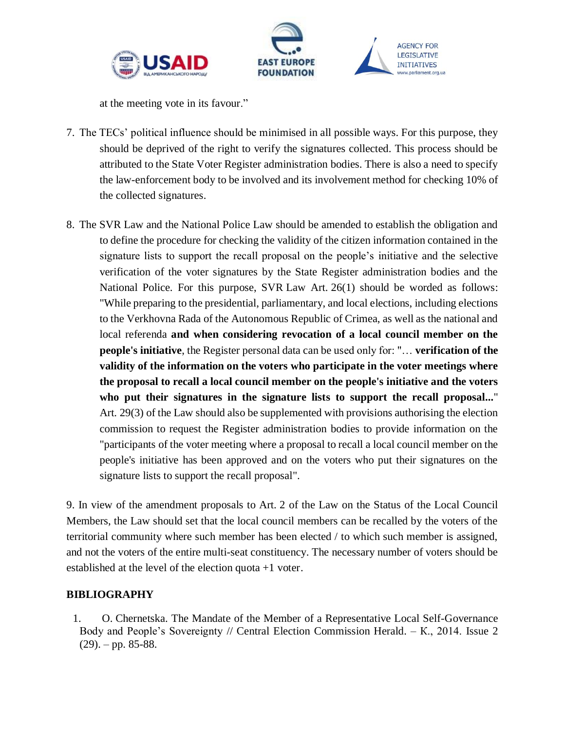



at the meeting vote in its favour."

- 7. The TECs' political influence should be minimised in all possible ways. For this purpose, they should be deprived of the right to verify the signatures collected. This process should be attributed to the State Voter Register administration bodies. There is also a need to specify the law-enforcement body to be involved and its involvement method for checking 10% of the collected signatures.
- 8. The SVR Law and the National Police Law should be amended to establish the obligation and to define the procedure for checking the validity of the citizen information contained in the signature lists to support the recall proposal on the people's initiative and the selective verification of the voter signatures by the State Register administration bodies and the National Police. For this purpose, SVR Law Art. 26(1) should be worded as follows: "While preparing to the presidential, parliamentary, and local elections, including elections to the Verkhovna Rada of the Autonomous Republic of Crimea, as well as the national and local referenda **and when considering revocation of a local council member on the people's initiative**, the Register personal data can be used only for: "… **verification of the validity of the information on the voters who participate in the voter meetings where the proposal to recall a local council member on the people's initiative and the voters who put their signatures in the signature lists to support the recall proposal...**" Art. 29(3) of the Law should also be supplemented with provisions authorising the election commission to request the Register administration bodies to provide information on the "participants of the voter meeting where a proposal to recall a local council member on the people's initiative has been approved and on the voters who put their signatures on the signature lists to support the recall proposal".

9. In view of the amendment proposals to Art. 2 of the Law on the Status of the Local Council Members, the Law should set that the local council members can be recalled by the voters of the territorial community where such member has been elected / to which such member is assigned, and not the voters of the entire multi-seat constituency. The necessary number of voters should be established at the level of the election quota +1 voter.

# <span id="page-21-0"></span>**BIBLIOGRAPHY**

1. O. Chernetska. The Mandate of the Member of a Representative Local Self-Governance Body and People's Sovereignty // Central Election Commission Herald. – K., 2014. Issue 2  $(29)$ . – pp. 85-88.